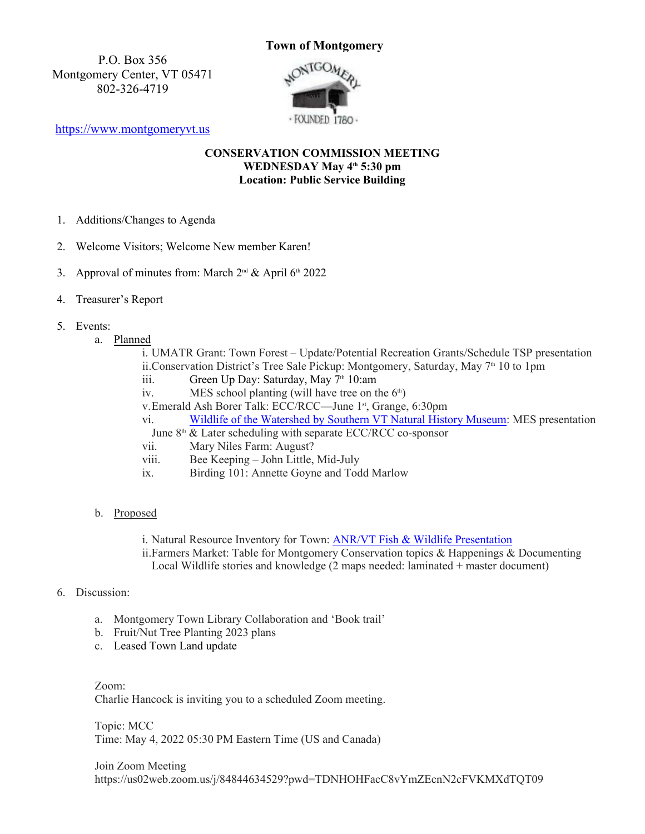## **Town of Montgomery**

P.O. Box 356<br>nery Center, VT 05471 NONTGOMER Montgomery Center, VT 05471 802-326-4719



https://www.montgomeryvt.us

## **CONSERVATION COMMISSION MEETING WEDNESDAY May 4th 5:30 pm Location: Public Service Building**

- 1. Additions/Changes to Agenda
- 2. Welcome Visitors; Welcome New member Karen!
- 3. Approval of minutes from: March  $2^{nd}$  & April 6<sup>th</sup> 2022
- 4. Treasurer's Report
- 5. Events:
	- a. Planned

i. UMATR Grant: Town Forest – Update/Potential Recreation Grants/Schedule TSP presentation ii.Conservation District's Tree Sale Pickup: Montgomery, Saturday, May 7<sup>th</sup> 10 to 1pm

- iii. Green Up Day: Saturday, May  $7<sup>th</sup> 10$ : am
- iv. MES school planting (will have tree on the  $6<sup>th</sup>$ )
- v.Emerald Ash Borer Talk: ECC/RCC—June 1st, Grange, 6:30pm

vi. Wildlife of the Watershed by Southern VT Natural History Museum: MES presentation

- June  $8<sup>th</sup>$  & Later scheduling with separate ECC/RCC co-sponsor vii. Mary Niles Farm: August?
- viii. Bee Keeping John Little, Mid-July
- ix. Birding 101: Annette Goyne and Todd Marlow

## b. Proposed

- i. Natural Resource Inventory for Town: ANR/VT Fish & Wildlife Presentation
- ii.Farmers Market: Table for Montgomery Conservation topics & Happenings & Documenting Local Wildlife stories and knowledge (2 maps needed: laminated + master document)
- 6. Discussion:
	- a. Montgomery Town Library Collaboration and 'Book trail'
	- b. Fruit/Nut Tree Planting 2023 plans
	- c. Leased Town Land update
	- Zoom: Charlie Hancock is inviting you to a scheduled Zoom meeting.

Topic: MCC Time: May 4, 2022 05:30 PM Eastern Time (US and Canada)

Join Zoom Meeting https://us02web.zoom.us/j/84844634529?pwd=TDNHOHFacC8vYmZEcnN2cFVKMXdTQT09